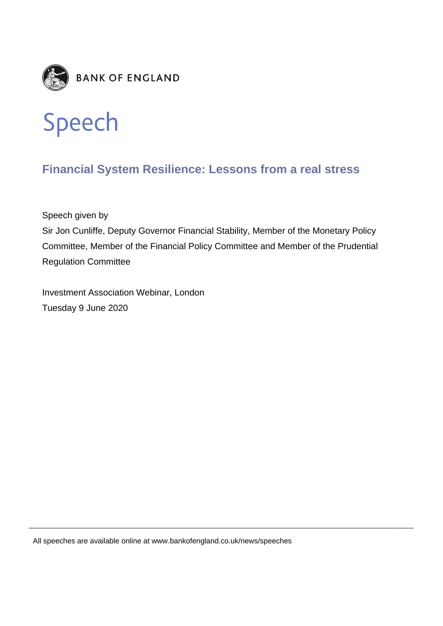



## **Financial System Resilience: Lessons from a real stress**

Speech given by

Sir Jon Cunliffe, Deputy Governor Financial Stability, Member of the Monetary Policy Committee, Member of the Financial Policy Committee and Member of the Prudential Regulation Committee

Investment Association Webinar, London Tuesday 9 June 2020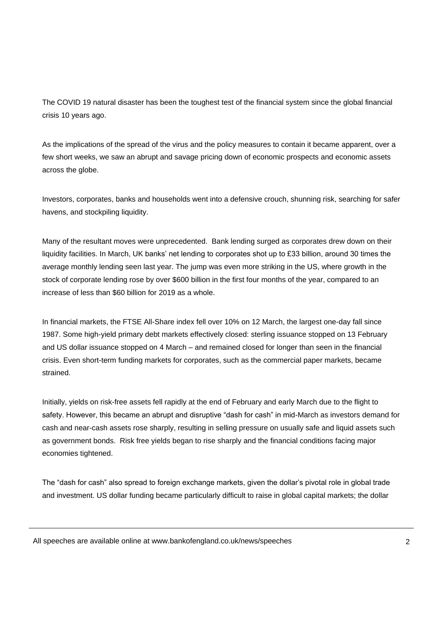The COVID 19 natural disaster has been the toughest test of the financial system since the global financial crisis 10 years ago.

As the implications of the spread of the virus and the policy measures to contain it became apparent, over a few short weeks, we saw an abrupt and savage pricing down of economic prospects and economic assets across the globe.

Investors, corporates, banks and households went into a defensive crouch, shunning risk, searching for safer havens, and stockpiling liquidity.

Many of the resultant moves were unprecedented. Bank lending surged as corporates drew down on their liquidity facilities. In March, UK banks' net lending to corporates shot up to £33 billion, around 30 times the average monthly lending seen last year. The jump was even more striking in the US, where growth in the stock of corporate lending rose by over \$600 billion in the first four months of the year, compared to an increase of less than \$60 billion for 2019 as a whole.

In financial markets, the FTSE All-Share index fell over 10% on 12 March, the largest one-day fall since 1987. Some high-yield primary debt markets effectively closed: sterling issuance stopped on 13 February and US dollar issuance stopped on 4 March – and remained closed for longer than seen in the financial crisis. Even short-term funding markets for corporates, such as the commercial paper markets, became strained.

Initially, yields on risk-free assets fell rapidly at the end of February and early March due to the flight to safety. However, this became an abrupt and disruptive "dash for cash" in mid-March as investors demand for cash and near-cash assets rose sharply, resulting in selling pressure on usually safe and liquid assets such as government bonds. Risk free yields began to rise sharply and the financial conditions facing major economies tightened.

The "dash for cash" also spread to foreign exchange markets, given the dollar's pivotal role in global trade and investment. US dollar funding became particularly difficult to raise in global capital markets; the dollar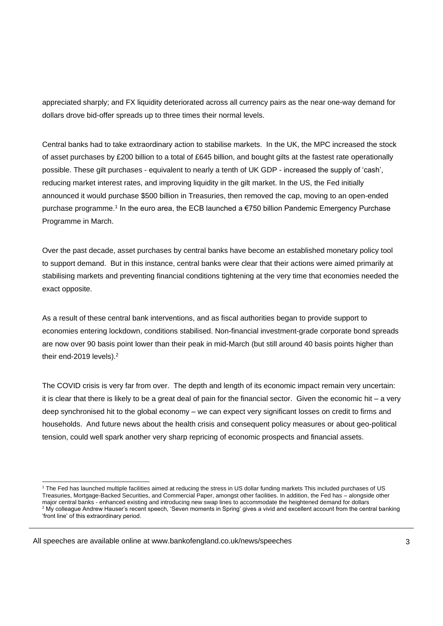appreciated sharply; and FX liquidity deteriorated across all currency pairs as the near one-way demand for dollars drove bid-offer spreads up to three times their normal levels.

Central banks had to take extraordinary action to stabilise markets. In the UK, the MPC increased the stock of asset purchases by £200 billion to a total of £645 billion, and bought gilts at the fastest rate operationally possible. These gilt purchases - equivalent to nearly a tenth of UK GDP - increased the supply of 'cash', reducing market interest rates, and improving liquidity in the gilt market. In the US, the Fed initially announced it would purchase \$500 billion in Treasuries, then removed the cap, moving to an open-ended purchase programme.<sup>1</sup> In the euro area, the ECB launched a €750 billion Pandemic Emergency Purchase Programme in March.

Over the past decade, asset purchases by central banks have become an established monetary policy tool to support demand. But in this instance, central banks were clear that their actions were aimed primarily at stabilising markets and preventing financial conditions tightening at the very time that economies needed the exact opposite.

As a result of these central bank interventions, and as fiscal authorities began to provide support to economies entering lockdown, conditions stabilised. Non-financial investment-grade corporate bond spreads are now over 90 basis point lower than their peak in mid-March (but still around 40 basis points higher than their end-2019 levels).<sup>2</sup>

The COVID crisis is very far from over. The depth and length of its economic impact remain very uncertain: it is clear that there is likely to be a great deal of pain for the financial sector. Given the economic hit – a very deep synchronised hit to the global economy – we can expect very significant losses on credit to firms and households. And future news about the health crisis and consequent policy measures or about geo-political tension, could well spark another very sharp repricing of economic prospects and financial assets.

l <sup>1</sup> The Fed has launched multiple facilities aimed at reducing the stress in US dollar funding markets This included purchases of US Treasuries, Mortgage-Backed Securities, and Commercial Paper, amongst other facilities. In addition, the Fed has – alongside other major central banks - enhanced existing and introducing new swap lines to accommodate the heightened demand for dollars  $2$  My colleague Andrew Hauser's recent speech, 'Seven moments in Spring' gives a vivid and excellent account from the central banking 'front line' of this extraordinary period.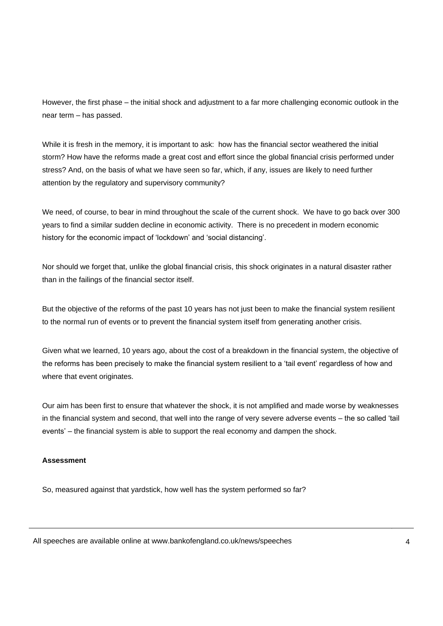However, the first phase – the initial shock and adjustment to a far more challenging economic outlook in the near term – has passed.

While it is fresh in the memory, it is important to ask: how has the financial sector weathered the initial storm? How have the reforms made a great cost and effort since the global financial crisis performed under stress? And, on the basis of what we have seen so far, which, if any, issues are likely to need further attention by the regulatory and supervisory community?

We need, of course, to bear in mind throughout the scale of the current shock. We have to go back over 300 years to find a similar sudden decline in economic activity. There is no precedent in modern economic history for the economic impact of 'lockdown' and 'social distancing'.

Nor should we forget that, unlike the global financial crisis, this shock originates in a natural disaster rather than in the failings of the financial sector itself.

But the objective of the reforms of the past 10 years has not just been to make the financial system resilient to the normal run of events or to prevent the financial system itself from generating another crisis.

Given what we learned, 10 years ago, about the cost of a breakdown in the financial system, the objective of the reforms has been precisely to make the financial system resilient to a 'tail event' regardless of how and where that event originates.

Our aim has been first to ensure that whatever the shock, it is not amplified and made worse by weaknesses in the financial system and second, that well into the range of very severe adverse events – the so called 'tail events' – the financial system is able to support the real economy and dampen the shock.

## **Assessment**

So, measured against that yardstick, how well has the system performed so far?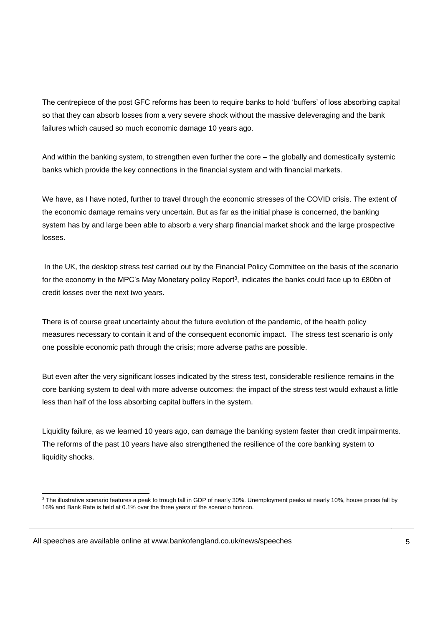The centrepiece of the post GFC reforms has been to require banks to hold 'buffers' of loss absorbing capital so that they can absorb losses from a very severe shock without the massive deleveraging and the bank failures which caused so much economic damage 10 years ago.

And within the banking system, to strengthen even further the core – the globally and domestically systemic banks which provide the key connections in the financial system and with financial markets.

We have, as I have noted, further to travel through the economic stresses of the COVID crisis. The extent of the economic damage remains very uncertain. But as far as the initial phase is concerned, the banking system has by and large been able to absorb a very sharp financial market shock and the large prospective losses.

In the UK, the desktop stress test carried out by the Financial Policy Committee on the basis of the scenario for the economy in the MPC's May Monetary policy Report<sup>3</sup>, indicates the banks could face up to £80bn of credit losses over the next two years.

There is of course great uncertainty about the future evolution of the pandemic, of the health policy measures necessary to contain it and of the consequent economic impact. The stress test scenario is only one possible economic path through the crisis; more adverse paths are possible.

But even after the very significant losses indicated by the stress test, considerable resilience remains in the core banking system to deal with more adverse outcomes: the impact of the stress test would exhaust a little less than half of the loss absorbing capital buffers in the system.

Liquidity failure, as we learned 10 years ago, can damage the banking system faster than credit impairments. The reforms of the past 10 years have also strengthened the resilience of the core banking system to liquidity shocks.

l  $3$  The illustrative scenario features a peak to trough fall in GDP of nearly 30%. Unemployment peaks at nearly 10%, house prices fall by 16% and Bank Rate is held at 0.1% over the three years of the scenario horizon.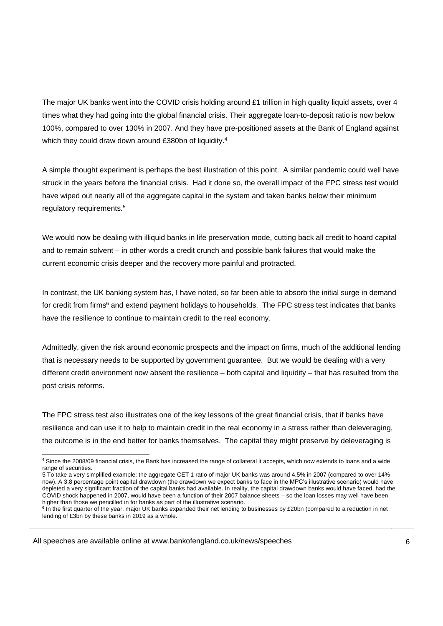The major UK banks went into the COVID crisis holding around £1 trillion in high quality liquid assets, over 4 times what they had going into the global financial crisis. Their aggregate loan-to-deposit ratio is now below 100%, compared to over 130% in 2007. And they have pre-positioned assets at the Bank of England against which they could draw down around £380bn of liquidity.<sup>4</sup>

A simple thought experiment is perhaps the best illustration of this point. A similar pandemic could well have struck in the years before the financial crisis. Had it done so, the overall impact of the FPC stress test would have wiped out nearly all of the aggregate capital in the system and taken banks below their minimum regulatory requirements.<sup>5</sup>

We would now be dealing with illiquid banks in life preservation mode, cutting back all credit to hoard capital and to remain solvent – in other words a credit crunch and possible bank failures that would make the current economic crisis deeper and the recovery more painful and protracted.

In contrast, the UK banking system has, I have noted, so far been able to absorb the initial surge in demand for credit from firms<sup>6</sup> and extend payment holidays to households. The FPC stress test indicates that banks have the resilience to continue to maintain credit to the real economy.

Admittedly, given the risk around economic prospects and the impact on firms, much of the additional lending that is necessary needs to be supported by government guarantee. But we would be dealing with a very different credit environment now absent the resilience – both capital and liquidity – that has resulted from the post crisis reforms.

The FPC stress test also illustrates one of the key lessons of the great financial crisis, that if banks have resilience and can use it to help to maintain credit in the real economy in a stress rather than deleveraging, the outcome is in the end better for banks themselves. The capital they might preserve by deleveraging is

All speeches are available online at www.bankofengland.co.uk/news/speeches

l

<sup>&</sup>lt;sup>4</sup> Since the 2008/09 financial crisis, the Bank has increased the range of collateral it accepts, which now extends to loans and a wide range of securities.

<sup>5</sup> To take a very simplified example: the aggregate CET 1 ratio of major UK banks was around 4.5% in 2007 (compared to over 14% now). A 3.8 percentage point capital drawdown (the drawdown we expect banks to face in the MPC's illustrative scenario) would have depleted a very significant fraction of the capital banks had available. In reality, the capital drawdown banks would have faced, had the COVID shock happened in 2007, would have been a function of their 2007 balance sheets – so the loan losses may well have been higher than those we pencilled in for banks as part of the illustrative scenario.

<sup>&</sup>lt;sup>6</sup> In the first quarter of the year, major UK banks expanded their net lending to businesses by £20bn (compared to a reduction in net lending of £3bn by these banks in 2019 as a whole.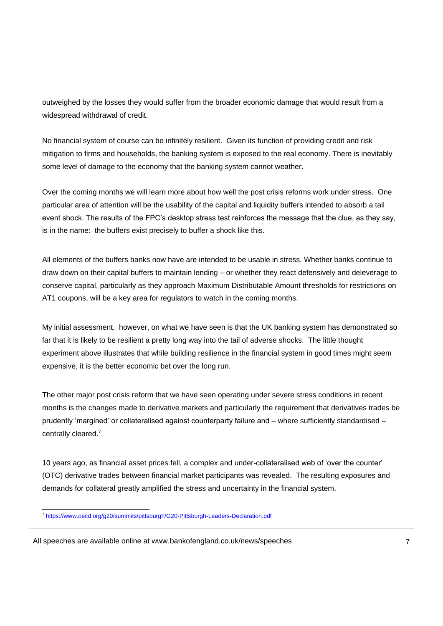outweighed by the losses they would suffer from the broader economic damage that would result from a widespread withdrawal of credit.

No financial system of course can be infinitely resilient. Given its function of providing credit and risk mitigation to firms and households, the banking system is exposed to the real economy. There is inevitably some level of damage to the economy that the banking system cannot weather.

Over the coming months we will learn more about how well the post crisis reforms work under stress. One particular area of attention will be the usability of the capital and liquidity buffers intended to absorb a tail event shock. The results of the FPC's desktop stress test reinforces the message that the clue, as they say, is in the name: the buffers exist precisely to buffer a shock like this.

All elements of the buffers banks now have are intended to be usable in stress. Whether banks continue to draw down on their capital buffers to maintain lending – or whether they react defensively and deleverage to conserve capital, particularly as they approach Maximum Distributable Amount thresholds for restrictions on AT1 coupons, will be a key area for regulators to watch in the coming months.

My initial assessment, however, on what we have seen is that the UK banking system has demonstrated so far that it is likely to be resilient a pretty long way into the tail of adverse shocks. The little thought experiment above illustrates that while building resilience in the financial system in good times might seem expensive, it is the better economic bet over the long run.

The other major post crisis reform that we have seen operating under severe stress conditions in recent months is the changes made to derivative markets and particularly the requirement that derivatives trades be prudently 'margined' or collateralised against counterparty failure and – where sufficiently standardised – centrally cleared.<sup>7</sup>

10 years ago, as financial asset prices fell, a complex and under-collateralised web of 'over the counter' (OTC) derivative trades between financial market participants was revealed. The resulting exposures and demands for collateral greatly amplified the stress and uncertainty in the financial system.

l <sup>7</sup> <https://www.oecd.org/g20/summits/pittsburgh/G20-Pittsburgh-Leaders-Declaration.pdf>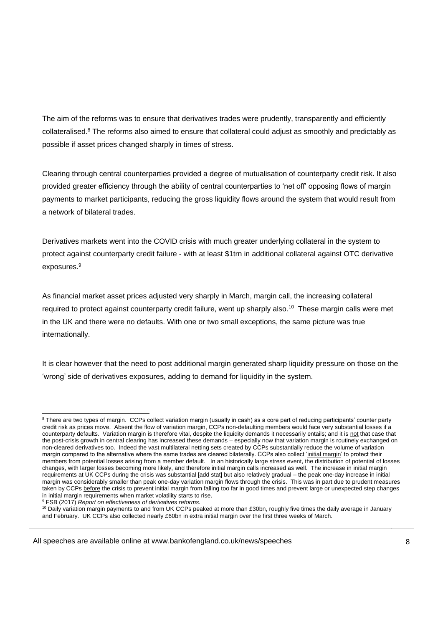The aim of the reforms was to ensure that derivatives trades were prudently, transparently and efficiently collateralised.<sup>8</sup> The reforms also aimed to ensure that collateral could adjust as smoothly and predictably as possible if asset prices changed sharply in times of stress.

Clearing through central counterparties provided a degree of mutualisation of counterparty credit risk. It also provided greater efficiency through the ability of central counterparties to 'net off' opposing flows of margin payments to market participants, reducing the gross liquidity flows around the system that would result from a network of bilateral trades.

Derivatives markets went into the COVID crisis with much greater underlying collateral in the system to protect against counterparty credit failure - with at least \$1trn in additional collateral against OTC derivative exposures.<sup>9</sup>

As financial market asset prices adjusted very sharply in March, margin call, the increasing collateral required to protect against counterparty credit failure, went up sharply also.<sup>10</sup> These margin calls were met in the UK and there were no defaults. With one or two small exceptions, the same picture was true internationally.

It is clear however that the need to post additional margin generated sharp liquidity pressure on those on the 'wrong' side of derivatives exposures, adding to demand for liquidity in the system.

<sup>9</sup> FSB (2017) *Report on effectiveness of derivatives reforms.*

l  $^8$  There are two types of margin.  $\,$  CCPs collect <u>variation</u> margin (usually in cash) as a core part of reducing participants' counter party credit risk as prices move. Absent the flow of variation margin, CCPs non-defaulting members would face very substantial losses if a counterparty defaults. Variation margin is therefore vital, despite the liquidity demands it necessarily entails; and it is not that case that the post-crisis growth in central clearing has increased these demands – especially now that variation margin is routinely exchanged on non-cleared derivatives too. Indeed the vast multilateral netting sets created by CCPs substantially reduce the volume of variation margin compared to the alternative where the same trades are cleared bilaterally. CCPs also collect 'initial margin' to protect their members from potential losses arising from a member default. In an historically large stress event, the distribution of potential of losses changes, with larger losses becoming more likely, and therefore initial margin calls increased as well. The increase in initial margin requirements at UK CCPs during the crisis was substantial [add stat] but also relatively gradual – the peak one-day increase in initial margin was considerably smaller than peak one-day variation margin flows through the crisis. This was in part due to prudent measures taken by CCPs before the crisis to prevent initial margin from falling too far in good times and prevent large or unexpected step changes in initial margin requirements when market volatility starts to rise.

<sup>&</sup>lt;sup>10</sup> Daily variation margin payments to and from UK CCPs peaked at more than £30bn, roughly five times the daily average in January and February. UK CCPs also collected nearly £60bn in extra initial margin over the first three weeks of March.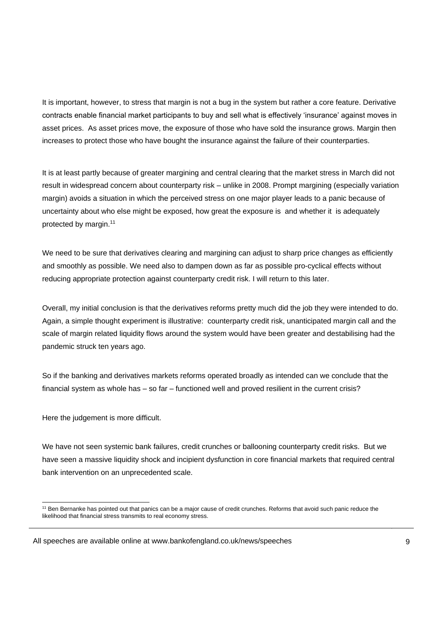It is important, however, to stress that margin is not a bug in the system but rather a core feature. Derivative contracts enable financial market participants to buy and sell what is effectively 'insurance' against moves in asset prices. As asset prices move, the exposure of those who have sold the insurance grows. Margin then increases to protect those who have bought the insurance against the failure of their counterparties.

It is at least partly because of greater margining and central clearing that the market stress in March did not result in widespread concern about counterparty risk – unlike in 2008. Prompt margining (especially variation margin) avoids a situation in which the perceived stress on one major player leads to a panic because of uncertainty about who else might be exposed, how great the exposure is and whether it is adequately protected by margin.<sup>11</sup>

We need to be sure that derivatives clearing and margining can adjust to sharp price changes as efficiently and smoothly as possible. We need also to dampen down as far as possible pro-cyclical effects without reducing appropriate protection against counterparty credit risk. I will return to this later.

Overall, my initial conclusion is that the derivatives reforms pretty much did the job they were intended to do. Again, a simple thought experiment is illustrative: counterparty credit risk, unanticipated margin call and the scale of margin related liquidity flows around the system would have been greater and destabilising had the pandemic struck ten years ago.

So if the banking and derivatives markets reforms operated broadly as intended can we conclude that the financial system as whole has – so far – functioned well and proved resilient in the current crisis?

Here the judgement is more difficult.

We have not seen systemic bank failures, credit crunches or ballooning counterparty credit risks. But we have seen a massive liquidity shock and incipient dysfunction in core financial markets that required central bank intervention on an unprecedented scale.

l <sup>11</sup> Ben Bernanke has pointed out that panics can be a major cause of credit crunches. Reforms that avoid such panic reduce the likelihood that financial stress transmits to real economy stress.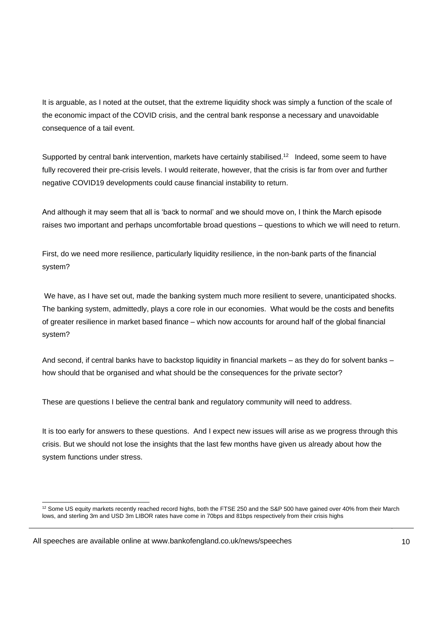It is arguable, as I noted at the outset, that the extreme liquidity shock was simply a function of the scale of the economic impact of the COVID crisis, and the central bank response a necessary and unavoidable consequence of a tail event.

Supported by central bank intervention, markets have certainly stabilised.<sup>12</sup> Indeed, some seem to have fully recovered their pre-crisis levels. I would reiterate, however, that the crisis is far from over and further negative COVID19 developments could cause financial instability to return.

And although it may seem that all is 'back to normal' and we should move on, I think the March episode raises two important and perhaps uncomfortable broad questions – questions to which we will need to return.

First, do we need more resilience, particularly liquidity resilience, in the non-bank parts of the financial system?

We have, as I have set out, made the banking system much more resilient to severe, unanticipated shocks. The banking system, admittedly, plays a core role in our economies. What would be the costs and benefits of greater resilience in market based finance – which now accounts for around half of the global financial system?

And second, if central banks have to backstop liquidity in financial markets – as they do for solvent banks – how should that be organised and what should be the consequences for the private sector?

These are questions I believe the central bank and regulatory community will need to address.

It is too early for answers to these questions. And I expect new issues will arise as we progress through this crisis. But we should not lose the insights that the last few months have given us already about how the system functions under stress.

l  $12$  Some US equity markets recently reached record highs, both the FTSE 250 and the S&P 500 have gained over 40% from their March lows, and sterling 3m and USD 3m LIBOR rates have come in 70bps and 81bps respectively from their crisis highs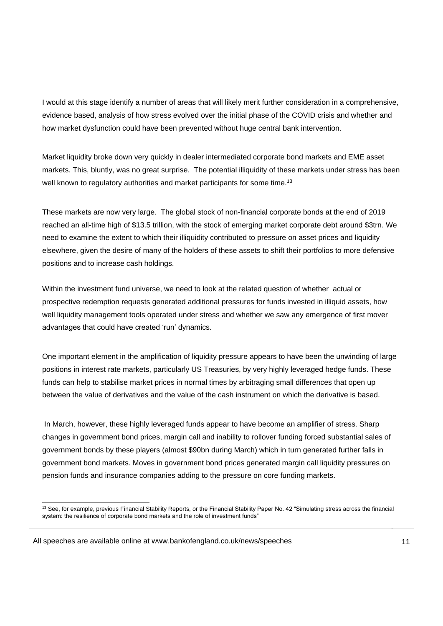I would at this stage identify a number of areas that will likely merit further consideration in a comprehensive, evidence based, analysis of how stress evolved over the initial phase of the COVID crisis and whether and how market dysfunction could have been prevented without huge central bank intervention.

Market liquidity broke down very quickly in dealer intermediated corporate bond markets and EME asset markets. This, bluntly, was no great surprise. The potential illiquidity of these markets under stress has been well known to regulatory authorities and market participants for some time.<sup>13</sup>

These markets are now very large. The global stock of non-financial corporate bonds at the end of 2019 reached an all-time high of \$13.5 trillion, with the stock of emerging market corporate debt around \$3trn. We need to examine the extent to which their illiquidity contributed to pressure on asset prices and liquidity elsewhere, given the desire of many of the holders of these assets to shift their portfolios to more defensive positions and to increase cash holdings.

Within the investment fund universe, we need to look at the related question of whether actual or prospective redemption requests generated additional pressures for funds invested in illiquid assets, how well liquidity management tools operated under stress and whether we saw any emergence of first mover advantages that could have created 'run' dynamics.

One important element in the amplification of liquidity pressure appears to have been the unwinding of large positions in interest rate markets, particularly US Treasuries, by very highly leveraged hedge funds. These funds can help to stabilise market prices in normal times by arbitraging small differences that open up between the value of derivatives and the value of the cash instrument on which the derivative is based.

In March, however, these highly leveraged funds appear to have become an amplifier of stress. Sharp changes in government bond prices, margin call and inability to rollover funding forced substantial sales of government bonds by these players (almost \$90bn during March) which in turn generated further falls in government bond markets. Moves in government bond prices generated margin call liquidity pressures on pension funds and insurance companies adding to the pressure on core funding markets.

l  $13$  See, for example, previous Financial Stability Reports, or the Financial Stability Paper No. 42 "Simulating stress across the financial system: the resilience of corporate bond markets and the role of investment funds"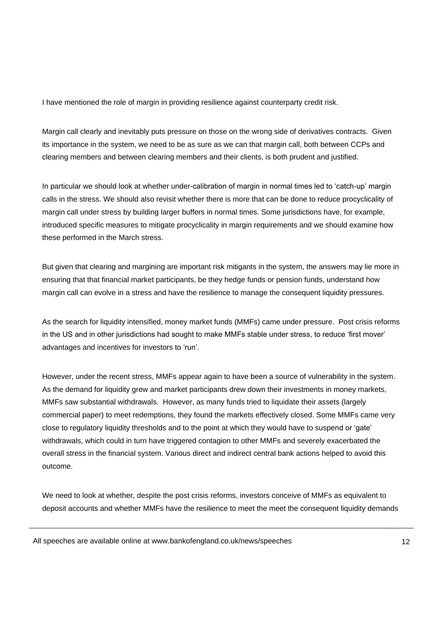I have mentioned the role of margin in providing resilience against counterparty credit risk.

Margin call clearly and inevitably puts pressure on those on the wrong side of derivatives contracts. Given its importance in the system, we need to be as sure as we can that margin call, both between CCPs and clearing members and between clearing members and their clients, is both prudent and justified.

In particular we should look at whether under-calibration of margin in normal times led to 'catch-up' margin calls in the stress. We should also revisit whether there is more that can be done to reduce procyclicality of margin call under stress by building larger buffers in normal times. Some jurisdictions have, for example, introduced specific measures to mitigate procyclicality in margin requirements and we should examine how these performed in the March stress.

But given that clearing and margining are important risk mitigants in the system, the answers may lie more in ensuring that that financial market participants, be they hedge funds or pension funds, understand how margin call can evolve in a stress and have the resilience to manage the consequent liquidity pressures.

As the search for liquidity intensified, money market funds (MMFs) came under pressure. Post crisis reforms in the US and in other jurisdictions had sought to make MMFs stable under stress, to reduce 'first mover' advantages and incentives for investors to 'run'.

However, under the recent stress, MMFs appear again to have been a source of vulnerability in the system. As the demand for liquidity grew and market participants drew down their investments in money markets, MMFs saw substantial withdrawals. However, as many funds tried to liquidate their assets (largely commercial paper) to meet redemptions, they found the markets effectively closed. Some MMFs came very close to regulatory liquidity thresholds and to the point at which they would have to suspend or 'gate' withdrawals, which could in turn have triggered contagion to other MMFs and severely exacerbated the overall stress in the financial system. Various direct and indirect central bank actions helped to avoid this outcome.

We need to look at whether, despite the post crisis reforms, investors conceive of MMFs as equivalent to deposit accounts and whether MMFs have the resilience to meet the meet the consequent liquidity demands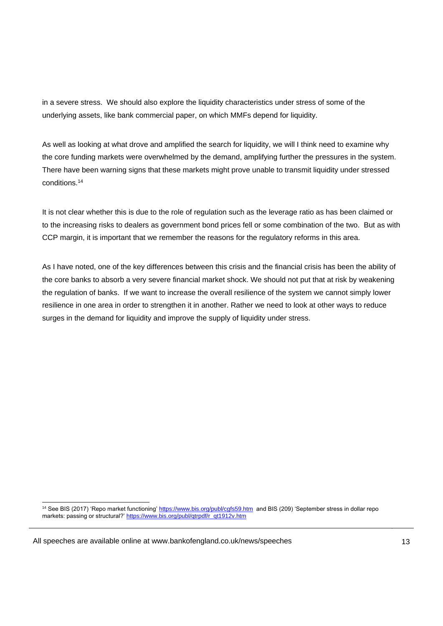in a severe stress. We should also explore the liquidity characteristics under stress of some of the underlying assets, like bank commercial paper, on which MMFs depend for liquidity.

As well as looking at what drove and amplified the search for liquidity, we will I think need to examine why the core funding markets were overwhelmed by the demand, amplifying further the pressures in the system. There have been warning signs that these markets might prove unable to transmit liquidity under stressed conditions.<sup>14</sup>

It is not clear whether this is due to the role of regulation such as the leverage ratio as has been claimed or to the increasing risks to dealers as government bond prices fell or some combination of the two. But as with CCP margin, it is important that we remember the reasons for the regulatory reforms in this area.

As I have noted, one of the key differences between this crisis and the financial crisis has been the ability of the core banks to absorb a very severe financial market shock. We should not put that at risk by weakening the regulation of banks. If we want to increase the overall resilience of the system we cannot simply lower resilience in one area in order to strengthen it in another. Rather we need to look at other ways to reduce surges in the demand for liquidity and improve the supply of liquidity under stress.

l <sup>14</sup> See BIS (2017) 'Repo market functioning'<https://www.bis.org/publ/cgfs59.htm>and BIS (209) 'September stress in dollar repo markets: passing or structural?' [https://www.bis.org/publ/qtrpdf/r\\_qt1912v.htm](https://www.bis.org/publ/qtrpdf/r_qt1912v.htm)